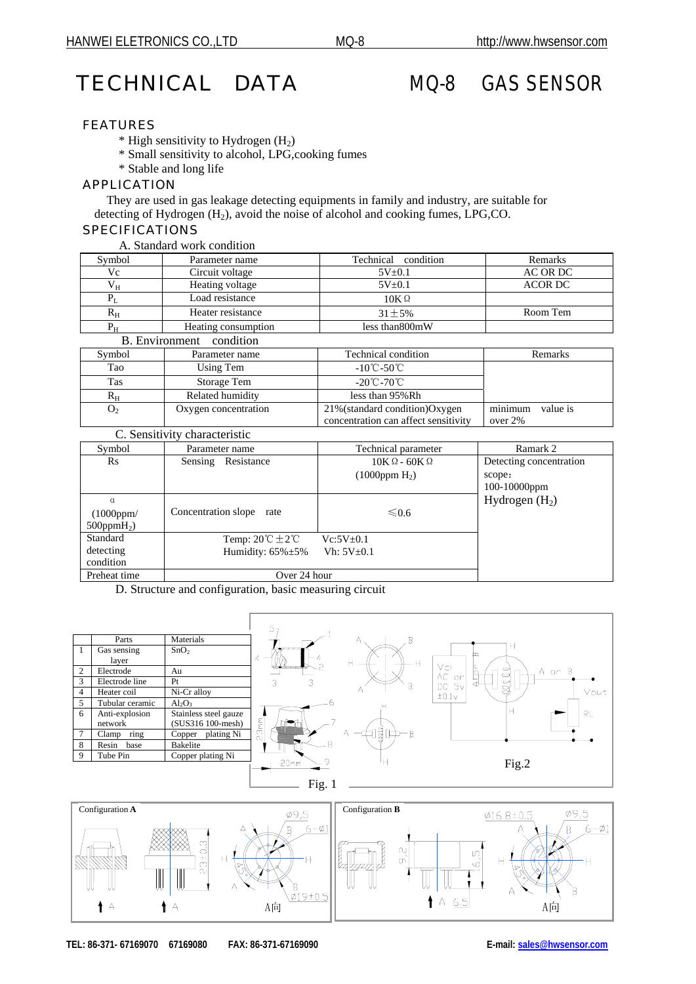# TECHNICAL DATA MQ-8 GAS SENSOR

## FEATURES

- $*$  High sensitivity to Hydrogen (H<sub>2</sub>)
- \* Small sensitivity to alcohol, LPG,cooking fumes
- \* Stable and long life

## APPLICATION

 They are used in gas leakage detecting equipments in family and industry, are suitable for detecting of Hydrogen  $(H_2)$ , avoid the noise of alcohol and cooking fumes, LPG,CO.

## SPECIFICATIONS

|  | A. Standard work condition |
|--|----------------------------|
|  |                            |

| Symbol                | Parameter name      | Technical condition | Remarks  |
|-----------------------|---------------------|---------------------|----------|
| Vc                    | Circuit voltage     | $5V_{\pm}0.1$       | AC OR DC |
| Vн                    | Heating voltage     | $5V + 0.1$          | ACOR DC  |
|                       | Load resistance     | $10K\Omega$         |          |
| $R_{\rm H}$           | Heater resistance   | $31 + 5\%$          | Room Tem |
| $P_{H}$               | Heating consumption | less than 800mW     |          |
| <b>B.</b> Environment | condition           |                     |          |

|                | $\sim$ 0.11 $\sim$ 1.1 $\sim$ 1.1 |                                      |                     |
|----------------|-----------------------------------|--------------------------------------|---------------------|
| Symbol         | Parameter name                    | Technical condition                  | <b>Remarks</b>      |
| Tao            | Using Tem                         | $-10^{\circ}$ C $-50^{\circ}$ C      |                     |
| Tas            | Storage Tem                       | $-20^{\circ}$ C $-70^{\circ}$ C      |                     |
| $R_{\rm H}$    | Related humidity                  | less than 95% Rh                     |                     |
| O <sub>2</sub> | Oxygen concentration              | 21% (standard condition) Oxygen      | minimum<br>value is |
|                |                                   | concentration can affect sensitivity | over $2\%$          |

| C. Sensitivity characteristic |                |  |
|-------------------------------|----------------|--|
| Symbol                        | Parameter name |  |

| Symbol            | Parameter name                         | Technical parameter     | Ramark 2                |
|-------------------|----------------------------------------|-------------------------|-------------------------|
| $\rm Rs$          | Resistance<br>Sensing                  | $10K\Omega - 60K\Omega$ | Detecting concentration |
|                   |                                        | $(1000$ ppm $H_2$ )     | scope:                  |
|                   |                                        |                         | $100-10000$ ppm         |
| $\alpha$          |                                        |                         | Hydrogen $(H2)$         |
| (1000ppm/         | Concentration slope rate               | ≤ 0.6                   |                         |
| $500$ ppm $H_2$ ) |                                        |                         |                         |
| Standard          | Temp: $20^{\circ}$ C $\pm 2^{\circ}$ C | $Vc:5V\pm0.1$           |                         |
| detecting         | Humidity: $65\% \pm 5\%$               | $Vh: 5V\pm0.1$          |                         |
| condition         |                                        |                         |                         |
| Preheat time      | Over 24 hour                           |                         |                         |

D. Structure and configuration, basic measuring circuit